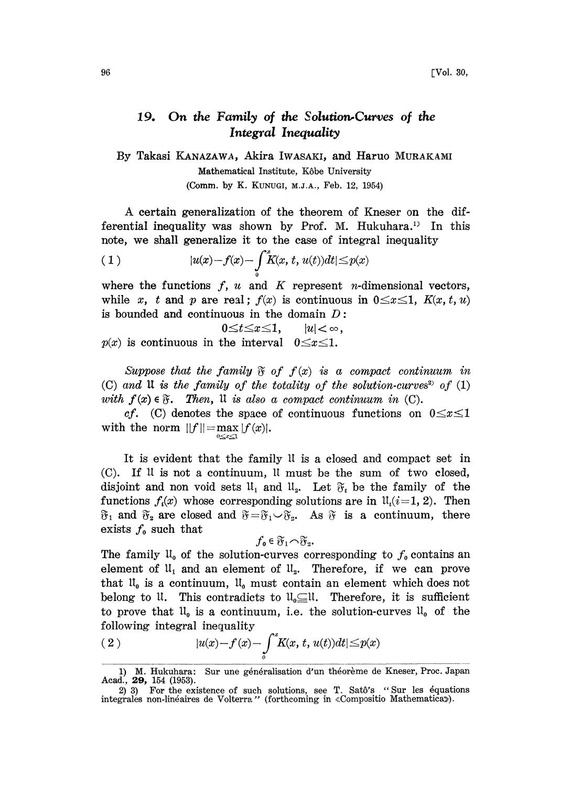## 19. On the Family of the Solution-Curves of the Integral Inequality

By Takasi KANAZAWA, Akira IWASAKI, and Haruo MURAKAMI Mathematical Institute, Kôbe University (Comm. by K. KUNUGI, M.J.A., Feb. 12, 1954)

A certain generalization of the theorem of Kneser on the differential inequality was shown by Prof. M. Hukuhara.<sup>13</sup> In this. note, we shall generalize it to the case of integral inequality

$$
(1) \t\t |u(x)-f(x)-\int\limits_0^x K(x, t, u(t))dt| \leq p(x)
$$

where the functions  $f, u$  and  $K$  represent *n*-dimensional vectors, while x, t and p are real;  $f(x)$  is continuous in  $0 \leq x \leq 1$ ,  $K(x, t, u)$ is bounded and continuous in the domain  $D$ :

$$
p(x) \text{ is continuous in the interval } 0 \le t \le x \le 1, \qquad |u| < \infty,
$$
\n
$$
p(x) \text{ is continuous in the interval } 0 \le x \le 1.
$$

Suppose that the family  $\mathfrak F$  of  $f(x)$  is a compact continuum in (C) and  $\mathfrak U$  is the family of the totality of the solution-curves<sup>2</sup> of  $(1)$ with  $f(x) \in \mathfrak{F}$ . Then, It is also a compact continuum in (C).

cf. (C) denotes the space of continuous functions on  $0 \leq x \leq 1$ with the norm  $||f|| = \max_{0 \le x \le 1} |f(x)|$ .

It is evident that the family lI is a closed and compact set in  $(C)$ . If  $\mathfrak U$  is not a continuum,  $\mathfrak U$  must be the sum of two closed, disjoint and non void sets  $ll_1$  and  $ll_2$ . Let  $\mathfrak{F}_i$  be the family of the functions  $f_i(x)$  whose corresponding solutions are in  $\mathfrak{u}_i(i=1, 2)$ . Then  $\mathfrak{F}_1$  and  $\mathfrak{F}_2$  are closed and  $\mathfrak{F}=\mathfrak{F}_1\setminus \mathfrak{F}_2$ . As  $\mathfrak{F}$  is a continuum, there exists  $f_0$  such that

$$
f_{\mathbf{0}}\in\mathfrak{F}_{1}\cap\mathfrak{F}_{2}.
$$

The family  $\mathfrak{U}_0$  of the solution-curves corresponding to  $f_0$  contains an element of  $\mathfrak{U}_1$  and an element of  $\mathfrak{U}_2$ . Therefore, if we can prove that  $\mathfrak{u}_0$  is a continuum,  $\mathfrak{u}_0$  must contain an element which does not belong to U. This contradicts to  $\mathfrak{U}_{\mathfrak{g}}\subseteq \mathfrak{U}$ . Therefore, it is sufficient to prove that  $\mathfrak{U}_0$  is a continuum, i.e. the solution-curves  $\mathfrak{U}_0$  of the following integral inequality

(2) 
$$
|u(x)-f(x)-\int_{0}^{x}K(x,t,u(t))dt| \leq p(x)
$$

Sur une généralisation d'un théorème de Kneser, Proc. Japan 1) M. Hukuhara:<br>Acad., **29,** 154 (1953).

<sup>2) 3)</sup> For the existence of such solutions, see T. Satô's "Sur les équations integrales non-linéaires de Volterra" (forthcoming in «Compositio Mathematica»).